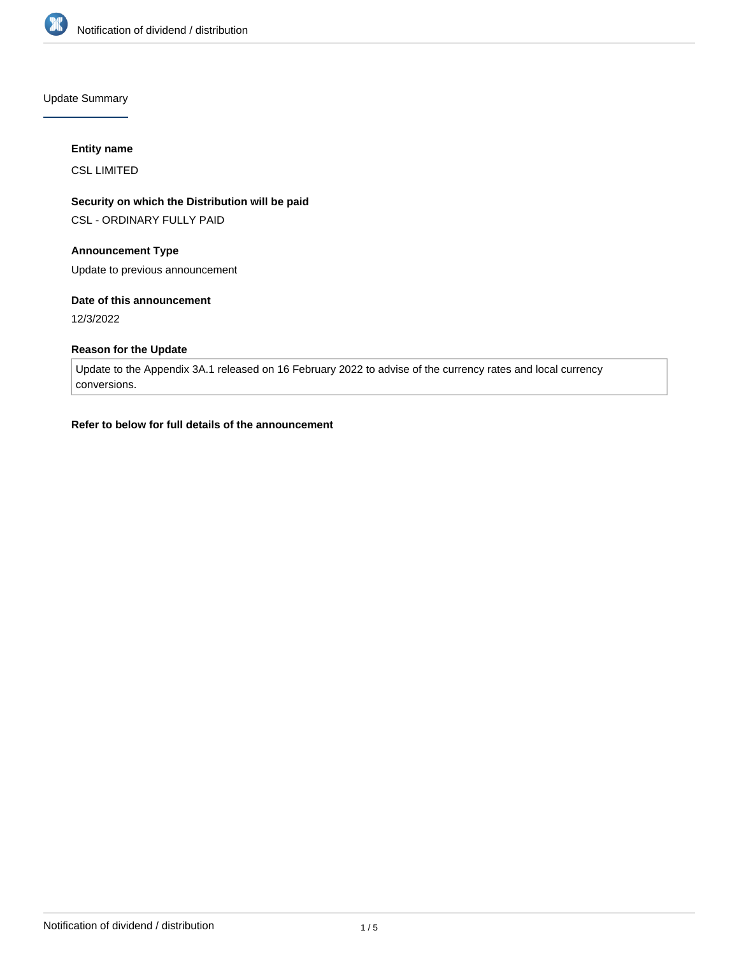

Update Summary

## **Entity name**

CSL LIMITED

# **Security on which the Distribution will be paid**

CSL - ORDINARY FULLY PAID

# **Announcement Type**

Update to previous announcement

## **Date of this announcement**

12/3/2022

## **Reason for the Update**

Update to the Appendix 3A.1 released on 16 February 2022 to advise of the currency rates and local currency conversions.

## **Refer to below for full details of the announcement**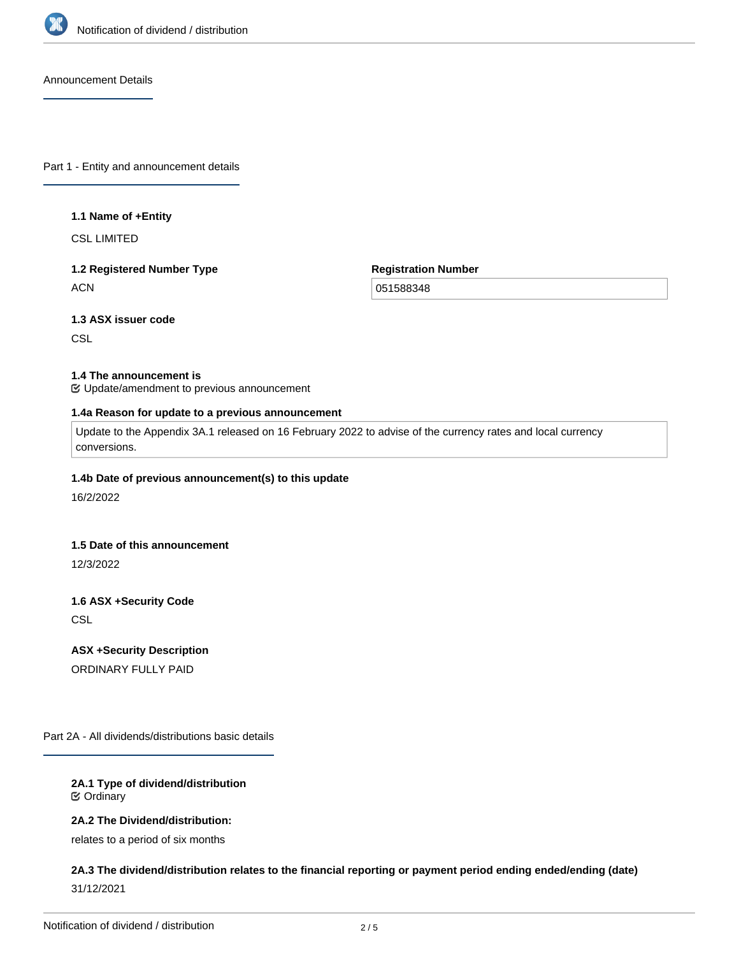

Announcement Details

Part 1 - Entity and announcement details

### **1.1 Name of +Entity**

CSL LIMITED

# **1.2 Registered Number Type ACN**

**Registration Number**

051588348

# **1.3 ASX issuer code**

**CSL** 

### **1.4 The announcement is**

Update/amendment to previous announcement

### **1.4a Reason for update to a previous announcement**

Update to the Appendix 3A.1 released on 16 February 2022 to advise of the currency rates and local currency conversions.

### **1.4b Date of previous announcement(s) to this update**

16/2/2022

#### **1.5 Date of this announcement**

12/3/2022

# **1.6 ASX +Security Code**

**CSL** 

### **ASX +Security Description**

ORDINARY FULLY PAID

Part 2A - All dividends/distributions basic details

## **2A.1 Type of dividend/distribution** Ordinary

# **2A.2 The Dividend/distribution:**

relates to a period of six months

# **2A.3 The dividend/distribution relates to the financial reporting or payment period ending ended/ending (date)** 31/12/2021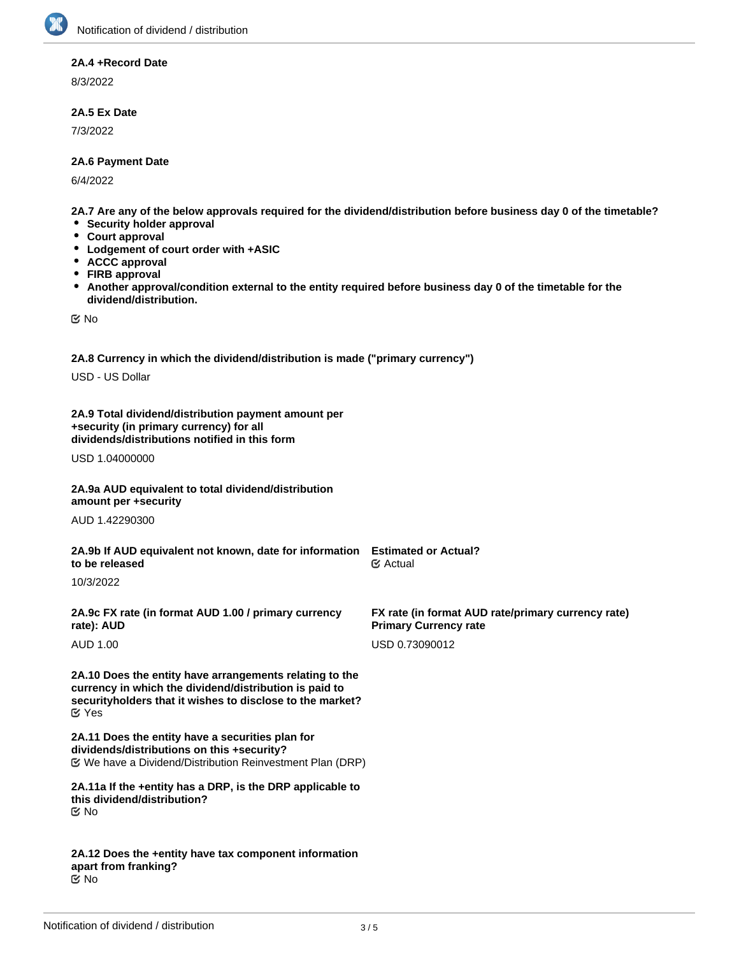# **2A.4 +Record Date**

8/3/2022

## **2A.5 Ex Date**

7/3/2022

## **2A.6 Payment Date**

6/4/2022

**2A.7 Are any of the below approvals required for the dividend/distribution before business day 0 of the timetable?**

- **Security holder approval**
- **Court approval**
- **Lodgement of court order with +ASIC**
- $\bullet$ **ACCC approval**
- $\bullet$ **FIRB approval**
- **Another approval/condition external to the entity required before business day 0 of the timetable for the**  $\bullet$ **dividend/distribution.**

No

**2A.8 Currency in which the dividend/distribution is made ("primary currency")**

USD - US Dollar

**2A.9 Total dividend/distribution payment amount per +security (in primary currency) for all dividends/distributions notified in this form**

USD 1.04000000

**2A.9a AUD equivalent to total dividend/distribution amount per +security**

AUD 1.42290300

**2A.9b If AUD equivalent not known, date for information Estimated or Actual? to be released** Actual

10/3/2022

**2A.9c FX rate (in format AUD 1.00 / primary currency rate): AUD**

AUD 1.00

**2A.10 Does the entity have arrangements relating to the currency in which the dividend/distribution is paid to securityholders that it wishes to disclose to the market?** Yes

**2A.11 Does the entity have a securities plan for dividends/distributions on this +security?** We have a Dividend/Distribution Reinvestment Plan (DRP)

**2A.11a If the +entity has a DRP, is the DRP applicable to this dividend/distribution?** No

**2A.12 Does the +entity have tax component information apart from franking?** No

**FX rate (in format AUD rate/primary currency rate)**

**Primary Currency rate** USD 0.73090012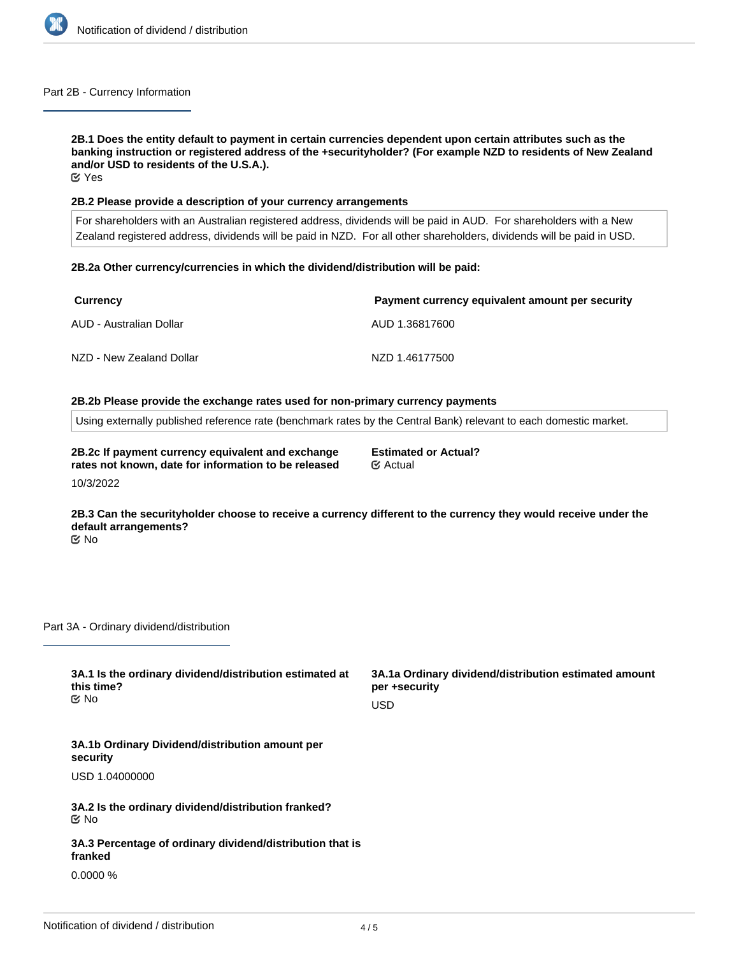

### Part 2B - Currency Information

**2B.1 Does the entity default to payment in certain currencies dependent upon certain attributes such as the banking instruction or registered address of the +securityholder? (For example NZD to residents of New Zealand and/or USD to residents of the U.S.A.).** Yes

### **2B.2 Please provide a description of your currency arrangements**

For shareholders with an Australian registered address, dividends will be paid in AUD. For shareholders with a New Zealand registered address, dividends will be paid in NZD. For all other shareholders, dividends will be paid in USD.

### **2B.2a Other currency/currencies in which the dividend/distribution will be paid:**

| Currency                 | Payment currency equivalent amount per security |
|--------------------------|-------------------------------------------------|
| AUD - Australian Dollar  | AUD 1.36817600                                  |
| NZD - New Zealand Dollar | NZD 1.46177500                                  |

### **2B.2b Please provide the exchange rates used for non-primary currency payments**

Using externally published reference rate (benchmark rates by the Central Bank) relevant to each domestic market.

**2B.2c If payment currency equivalent and exchange rates not known, date for information to be released** 10/3/2022

**2B.3 Can the securityholder choose to receive a currency different to the currency they would receive under the default arrangements?**

**Estimated or Actual?**

Actual

No

Part 3A - Ordinary dividend/distribution

| 3A.1 Is the ordinary dividend/distribution estimated at<br>this time?<br>় No | 3A.1a Ordinary dividend/distribution estimated amount<br>per +security<br><b>USD</b> |
|-------------------------------------------------------------------------------|--------------------------------------------------------------------------------------|
| 3A.1b Ordinary Dividend/distribution amount per<br>security                   |                                                                                      |
| USD 1.04000000                                                                |                                                                                      |
| 3A.2 Is the ordinary dividend/distribution franked?<br><b>Mo</b>              |                                                                                      |
| 3A.3 Percentage of ordinary dividend/distribution that is<br>franked          |                                                                                      |
| $0.0000\%$                                                                    |                                                                                      |
|                                                                               |                                                                                      |